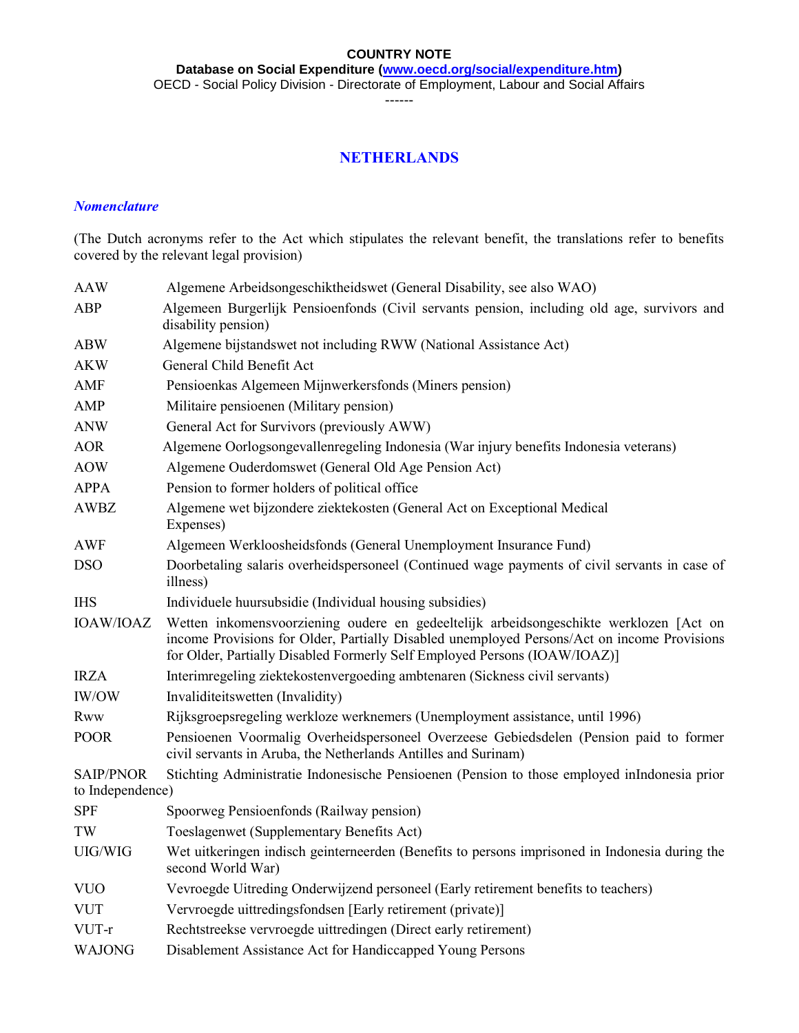**Database on Social Expenditure [\(www.oecd.org/social/expenditure.htm\)](http://www.oecd.org/social/expenditure.htm)**

OECD - Social Policy Division - Directorate of Employment, Labour and Social Affairs

------

## **NETHERLANDS**

#### *Nomenclature*

(The Dutch acronyms refer to the Act which stipulates the relevant benefit, the translations refer to benefits covered by the relevant legal provision)

| <b>AAW</b>       | Algemene Arbeidsongeschiktheidswet (General Disability, see also WAO)                                                                                                                                                                                              |  |  |  |  |  |  |
|------------------|--------------------------------------------------------------------------------------------------------------------------------------------------------------------------------------------------------------------------------------------------------------------|--|--|--|--|--|--|
| ABP              | Algemeen Burgerlijk Pensioenfonds (Civil servants pension, including old age, survivors and<br>disability pension)                                                                                                                                                 |  |  |  |  |  |  |
| <b>ABW</b>       | Algemene bijstandswet not including RWW (National Assistance Act)                                                                                                                                                                                                  |  |  |  |  |  |  |
| <b>AKW</b>       | General Child Benefit Act                                                                                                                                                                                                                                          |  |  |  |  |  |  |
| AMF              | Pensioenkas Algemeen Mijnwerkersfonds (Miners pension)                                                                                                                                                                                                             |  |  |  |  |  |  |
| AMP              | Militaire pensioenen (Military pension)                                                                                                                                                                                                                            |  |  |  |  |  |  |
| <b>ANW</b>       | General Act for Survivors (previously AWW)                                                                                                                                                                                                                         |  |  |  |  |  |  |
| <b>AOR</b>       | Algemene Oorlogsongevallenregeling Indonesia (War injury benefits Indonesia veterans)                                                                                                                                                                              |  |  |  |  |  |  |
| <b>AOW</b>       | Algemene Ouderdomswet (General Old Age Pension Act)                                                                                                                                                                                                                |  |  |  |  |  |  |
| <b>APPA</b>      | Pension to former holders of political office                                                                                                                                                                                                                      |  |  |  |  |  |  |
| <b>AWBZ</b>      | Algemene wet bijzondere ziektekosten (General Act on Exceptional Medical<br>Expenses)                                                                                                                                                                              |  |  |  |  |  |  |
| <b>AWF</b>       | Algemeen Werkloosheidsfonds (General Unemployment Insurance Fund)                                                                                                                                                                                                  |  |  |  |  |  |  |
| <b>DSO</b>       | Doorbetaling salaris overheidspersoneel (Continued wage payments of civil servants in case of<br>illness)                                                                                                                                                          |  |  |  |  |  |  |
| <b>IHS</b>       | Individuele huursubsidie (Individual housing subsidies)                                                                                                                                                                                                            |  |  |  |  |  |  |
| <b>IOAW/IOAZ</b> | Wetten inkomensvoorziening oudere en gedeeltelijk arbeidsongeschikte werklozen [Act on<br>income Provisions for Older, Partially Disabled unemployed Persons/Act on income Provisions<br>for Older, Partially Disabled Formerly Self Employed Persons (IOAW/IOAZ)] |  |  |  |  |  |  |
| <b>IRZA</b>      | Interimregeling ziektekostenvergoeding ambtenaren (Sickness civil servants)                                                                                                                                                                                        |  |  |  |  |  |  |
| IW/OW            | Invaliditeitswetten (Invalidity)                                                                                                                                                                                                                                   |  |  |  |  |  |  |
| <b>Rww</b>       | Rijksgroepsregeling werkloze werknemers (Unemployment assistance, until 1996)                                                                                                                                                                                      |  |  |  |  |  |  |
| <b>POOR</b>      | Pensioenen Voormalig Overheidspersoneel Overzeese Gebiedsdelen (Pension paid to former<br>civil servants in Aruba, the Netherlands Antilles and Surinam)                                                                                                           |  |  |  |  |  |  |
| <b>SAIP/PNOR</b> | Stichting Administratie Indonesische Pensioenen (Pension to those employed inIndonesia prior                                                                                                                                                                       |  |  |  |  |  |  |
| to Independence) |                                                                                                                                                                                                                                                                    |  |  |  |  |  |  |
| <b>SPF</b>       | Spoorweg Pensioenfonds (Railway pension)                                                                                                                                                                                                                           |  |  |  |  |  |  |
| TW               | Toeslagenwet (Supplementary Benefits Act)                                                                                                                                                                                                                          |  |  |  |  |  |  |
| UIG/WIG          | Wet uitkeringen indisch geinterneerden (Benefits to persons imprisoned in Indonesia during the<br>second World War)                                                                                                                                                |  |  |  |  |  |  |
| <b>VUO</b>       | Vevroegde Uitreding Onderwijzend personeel (Early retirement benefits to teachers)                                                                                                                                                                                 |  |  |  |  |  |  |
| <b>VUT</b>       | Vervroegde uittredingsfondsen [Early retirement (private)]                                                                                                                                                                                                         |  |  |  |  |  |  |
| VUT-r            | Rechtstreekse vervroegde uittredingen (Direct early retirement)                                                                                                                                                                                                    |  |  |  |  |  |  |
| <b>WAJONG</b>    | Disablement Assistance Act for Handiccapped Young Persons                                                                                                                                                                                                          |  |  |  |  |  |  |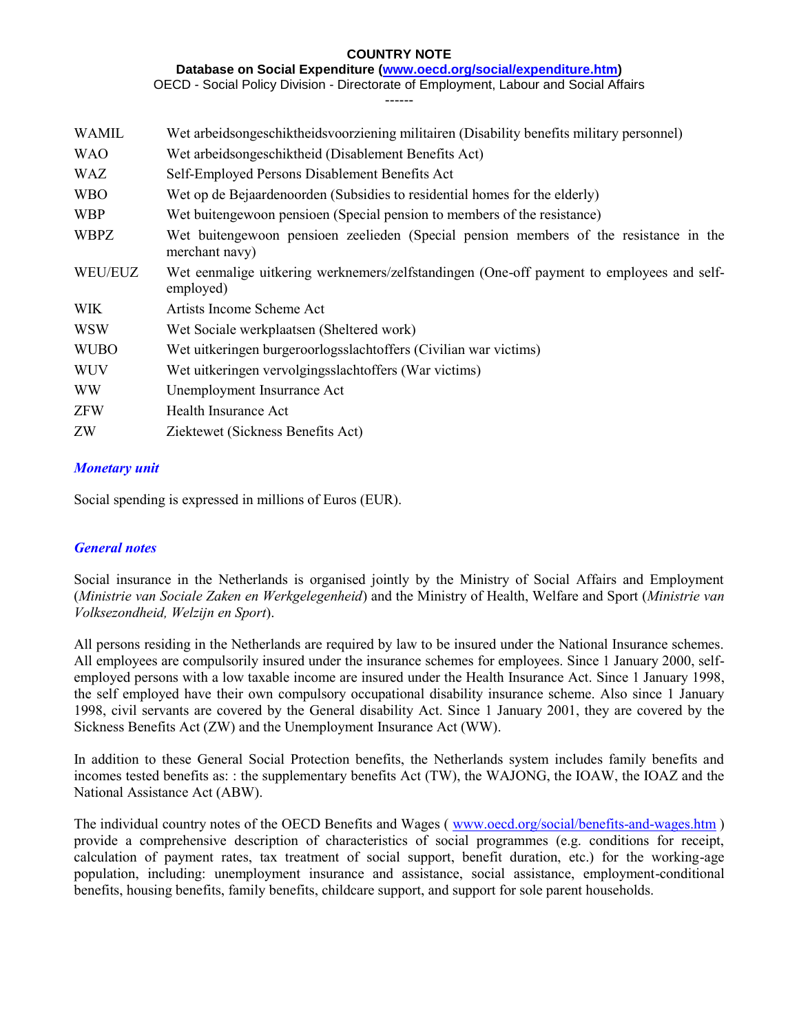**Database on Social Expenditure [\(www.oecd.org/social/expenditure.htm\)](http://www.oecd.org/social/expenditure.htm)**

OECD - Social Policy Division - Directorate of Employment, Labour and Social Affairs

------

| <b>WAMIL</b> | Wet arbeidsongeschiktheidsvoorziening militairen (Disability benefits military personnel)               |  |  |  |  |  |
|--------------|---------------------------------------------------------------------------------------------------------|--|--|--|--|--|
| <b>WAO</b>   | Wet arbeidsongeschiktheid (Disablement Benefits Act)                                                    |  |  |  |  |  |
| WAZ          | Self-Employed Persons Disablement Benefits Act                                                          |  |  |  |  |  |
| <b>WBO</b>   | Wet op de Bejaardenoorden (Subsidies to residential homes for the elderly)                              |  |  |  |  |  |
| <b>WBP</b>   | Wet buitengewoon pensioen (Special pension to members of the resistance)                                |  |  |  |  |  |
| <b>WBPZ</b>  | Wet buitengewoon pensioen zeelieden (Special pension members of the resistance in the<br>merchant navy) |  |  |  |  |  |
| WEU/EUZ      | Wet eenmalige uitkering werknemers/zelfstandingen (One-off payment to employees and self-<br>employed)  |  |  |  |  |  |
| <b>WIK</b>   | Artists Income Scheme Act                                                                               |  |  |  |  |  |
| <b>WSW</b>   | Wet Sociale werkplaatsen (Sheltered work)                                                               |  |  |  |  |  |
| <b>WUBO</b>  | Wet uitkeringen burgeroorlogsslachtoffers (Civilian war victims)                                        |  |  |  |  |  |
| <b>WUV</b>   | Wet uitkeringen vervolgingsslachtoffers (War victims)                                                   |  |  |  |  |  |
| <b>WW</b>    | Unemployment Insurrance Act                                                                             |  |  |  |  |  |
| <b>ZFW</b>   | Health Insurance Act                                                                                    |  |  |  |  |  |
| ZW           | Ziektewet (Sickness Benefits Act)                                                                       |  |  |  |  |  |

### *Monetary unit*

Social spending is expressed in millions of Euros (EUR).

### *General notes*

Social insurance in the Netherlands is organised jointly by the Ministry of Social Affairs and Employment (*Ministrie van Sociale Zaken en Werkgelegenheid*) and the Ministry of Health, Welfare and Sport (*Ministrie van Volksezondheid, Welzijn en Sport*).

All persons residing in the Netherlands are required by law to be insured under the National Insurance schemes. All employees are compulsorily insured under the insurance schemes for employees. Since 1 January 2000, selfemployed persons with a low taxable income are insured under the Health Insurance Act. Since 1 January 1998, the self employed have their own compulsory occupational disability insurance scheme. Also since 1 January 1998, civil servants are covered by the General disability Act. Since 1 January 2001, they are covered by the Sickness Benefits Act (ZW) and the Unemployment Insurance Act (WW).

In addition to these General Social Protection benefits, the Netherlands system includes family benefits and incomes tested benefits as: : the supplementary benefits Act (TW), the WAJONG, the IOAW, the IOAZ and the National Assistance Act (ABW).

The individual country notes of the OECD Benefits and Wages ( [www.oecd.org/social/benefits-and-wages.htm](http://www.oecd.org/social/benefits-and-wages.htm) ) provide a comprehensive description of characteristics of social programmes (e.g. conditions for receipt, calculation of payment rates, tax treatment of social support, benefit duration, etc.) for the working-age population, including: unemployment insurance and assistance, social assistance, employment-conditional benefits, housing benefits, family benefits, childcare support, and support for sole parent households.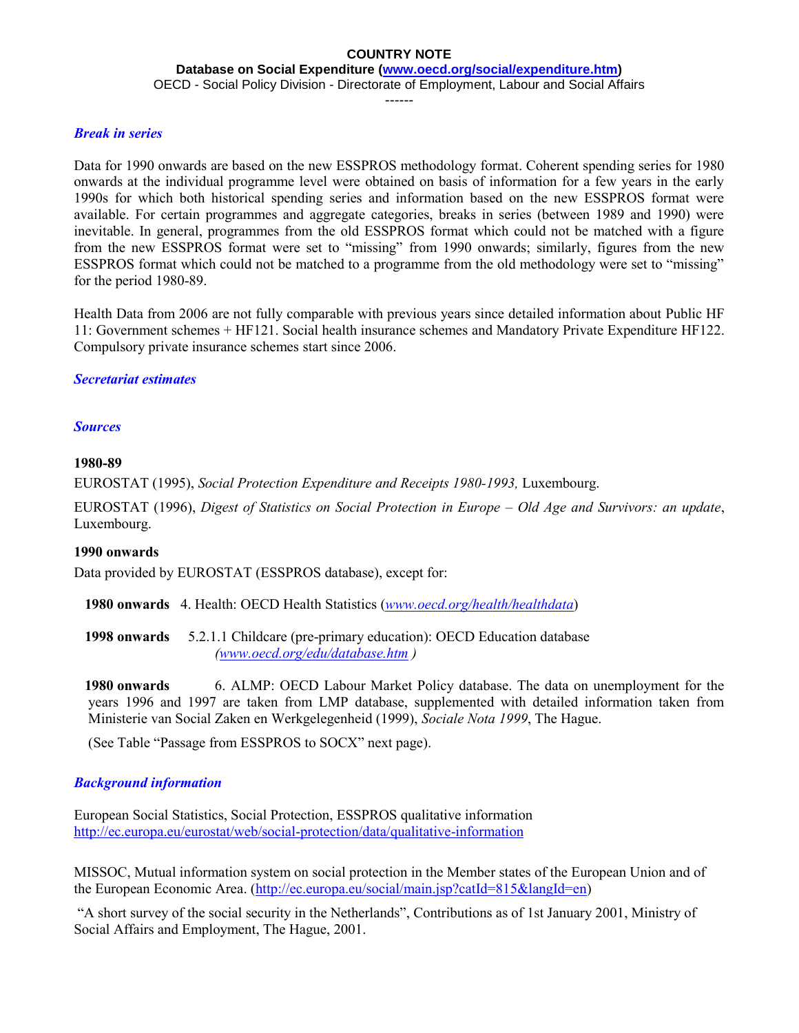**Database on Social Expenditure [\(www.oecd.org/social/expenditure.htm\)](http://www.oecd.org/social/expenditure.htm)**

OECD - Social Policy Division - Directorate of Employment, Labour and Social Affairs

------

#### *Break in series*

Data for 1990 onwards are based on the new ESSPROS methodology format. Coherent spending series for 1980 onwards at the individual programme level were obtained on basis of information for a few years in the early 1990s for which both historical spending series and information based on the new ESSPROS format were available. For certain programmes and aggregate categories, breaks in series (between 1989 and 1990) were inevitable. In general, programmes from the old ESSPROS format which could not be matched with a figure from the new ESSPROS format were set to "missing" from 1990 onwards; similarly, figures from the new ESSPROS format which could not be matched to a programme from the old methodology were set to "missing" for the period 1980-89.

Health Data from 2006 are not fully comparable with previous years since detailed information about Public HF 11: Government schemes + HF121. Social health insurance schemes and Mandatory Private Expenditure HF122. Compulsory private insurance schemes start since 2006.

### *Secretariat estimates*

#### *Sources*

#### **1980-89**

EUROSTAT (1995), *Social Protection Expenditure and Receipts 1980-1993,* Luxembourg.

EUROSTAT (1996), *Digest of Statistics on Social Protection in Europe – Old Age and Survivors: an update*, Luxembourg.

#### **1990 onwards**

Data provided by EUROSTAT (ESSPROS database), except for:

 **1980 onwards** 4. Health: OECD Health Statistics (*[www.oecd.org/health/healthdata](http://www.oecd.org/health/healthdata)*)

 **1998 onwards** 5.2.1.1 Childcare (pre-primary education): OECD Education database *[\(www.oecd.org/edu/database.htm](http://www.oecd.org/edu/database.htm) )*

 **1980 onwards** 6. ALMP: OECD Labour Market Policy database. The data on unemployment for the years 1996 and 1997 are taken from LMP database, supplemented with detailed information taken from Ministerie van Social Zaken en Werkgelegenheid (1999), *Sociale Nota 1999*, The Hague.

(See Table "Passage from ESSPROS to SOCX" next page).

### *Background information*

European Social Statistics, Social Protection, ESSPROS qualitative information <http://ec.europa.eu/eurostat/web/social-protection/data/qualitative-information>

MISSOC, Mutual information system on social protection in the Member states of the European Union and of the European Economic Area. [\(http://ec.europa.eu/social/main.jsp?catId=815&langId=en\)](http://ec.europa.eu/social/main.jsp?catId=815&langId=en)

"A short survey of the social security in the Netherlands", Contributions as of 1st January 2001, Ministry of Social Affairs and Employment, The Hague, 2001.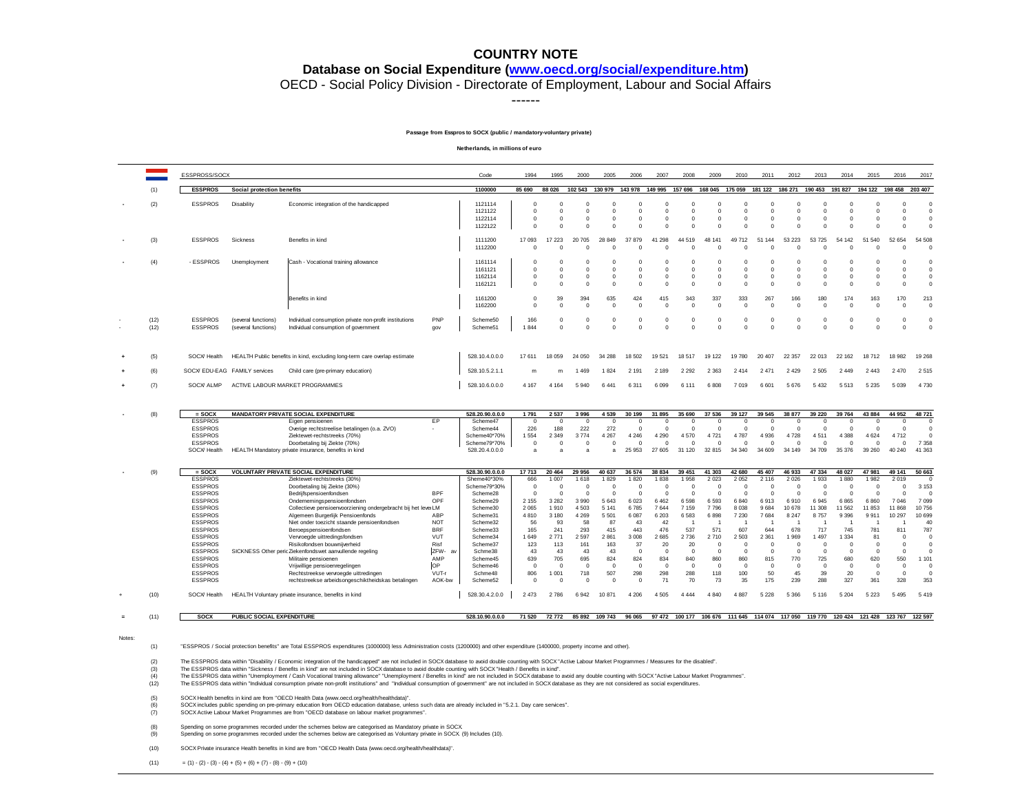#### **Database on Social Expenditure [\(www.oecd.org/social/expenditure.htm\)](http://www.oecd.org/social/expenditure.htm)**

OECD - Social Policy Division - Directorate of Employment, Labour and Social Affairs

------

#### **Passage from Esspros to SOCX (public / mandatory-voluntary private)**

**Netherlands, in millions of euro**

|        |                                                                                                                                                                                                                                                                                                                                                                                                                                                                                                                                                                                                                                                                                                                                                                                                                                                                                                                                                                  | ESSPROSS/SOCX                                                                                                                                                                                                                                                              |                                            |                                                                                                                                                                                                                                                                                                                                                                                                                                                                                                                                                                                              |                                                                                                                       | Code                                                                                                                                                                                  | 1994                                                                                                                                    | 1995                                                                                                                                         | 2000                                                                                                                                           | 2005                                                                                                                                     | 2006                                                                                                                                          | 2007                                                                                                                                 | 2008                                                                                                                          | 2009                                                                                                                                                   | 2010                                                                                                                                             | 2011                                                                                                                                             | 2012                                                                                                                                      | 2013                                                                                                                                       | 2014                                                                                                                                      | 2015                                                                                                                                | 2016                                                                                                                                                     | 2017                                                                                                                                                                   |
|--------|------------------------------------------------------------------------------------------------------------------------------------------------------------------------------------------------------------------------------------------------------------------------------------------------------------------------------------------------------------------------------------------------------------------------------------------------------------------------------------------------------------------------------------------------------------------------------------------------------------------------------------------------------------------------------------------------------------------------------------------------------------------------------------------------------------------------------------------------------------------------------------------------------------------------------------------------------------------|----------------------------------------------------------------------------------------------------------------------------------------------------------------------------------------------------------------------------------------------------------------------------|--------------------------------------------|----------------------------------------------------------------------------------------------------------------------------------------------------------------------------------------------------------------------------------------------------------------------------------------------------------------------------------------------------------------------------------------------------------------------------------------------------------------------------------------------------------------------------------------------------------------------------------------------|-----------------------------------------------------------------------------------------------------------------------|---------------------------------------------------------------------------------------------------------------------------------------------------------------------------------------|-----------------------------------------------------------------------------------------------------------------------------------------|----------------------------------------------------------------------------------------------------------------------------------------------|------------------------------------------------------------------------------------------------------------------------------------------------|------------------------------------------------------------------------------------------------------------------------------------------|-----------------------------------------------------------------------------------------------------------------------------------------------|--------------------------------------------------------------------------------------------------------------------------------------|-------------------------------------------------------------------------------------------------------------------------------|--------------------------------------------------------------------------------------------------------------------------------------------------------|--------------------------------------------------------------------------------------------------------------------------------------------------|--------------------------------------------------------------------------------------------------------------------------------------------------|-------------------------------------------------------------------------------------------------------------------------------------------|--------------------------------------------------------------------------------------------------------------------------------------------|-------------------------------------------------------------------------------------------------------------------------------------------|-------------------------------------------------------------------------------------------------------------------------------------|----------------------------------------------------------------------------------------------------------------------------------------------------------|------------------------------------------------------------------------------------------------------------------------------------------------------------------------|
|        | (1)                                                                                                                                                                                                                                                                                                                                                                                                                                                                                                                                                                                                                                                                                                                                                                                                                                                                                                                                                              | <b>ESSPROS</b>                                                                                                                                                                                                                                                             | Social protection benefits                 |                                                                                                                                                                                                                                                                                                                                                                                                                                                                                                                                                                                              |                                                                                                                       | 1100000                                                                                                                                                                               | 85 690                                                                                                                                  | 88 0 26                                                                                                                                      | 102 543 130 979 143 978                                                                                                                        |                                                                                                                                          |                                                                                                                                               | 149 995 157 696                                                                                                                      |                                                                                                                               |                                                                                                                                                        | 168 045 175 059 181 122                                                                                                                          |                                                                                                                                                  | 186 271 190 453                                                                                                                           |                                                                                                                                            |                                                                                                                                           | 191 827 194 122 198 458                                                                                                             |                                                                                                                                                          | 203 407                                                                                                                                                                |
|        | (2)                                                                                                                                                                                                                                                                                                                                                                                                                                                                                                                                                                                                                                                                                                                                                                                                                                                                                                                                                              | <b>ESSPROS</b>                                                                                                                                                                                                                                                             | Disability                                 | Economic integration of the handicapped                                                                                                                                                                                                                                                                                                                                                                                                                                                                                                                                                      |                                                                                                                       | 1121114<br>1121122<br>1122114<br>1122122                                                                                                                                              | $\mathbf 0$<br>$\mathbf 0$<br>$\overline{\mathbf{0}}$<br>$\Omega$                                                                       | $^{\circ}$<br>$^{\circ}$<br>$^{\circ}$<br>$\Omega$                                                                                           | $\mathbf 0$<br>$\mathbf 0$<br>$^{\circ}$<br>$\Omega$                                                                                           | $^{\circ}$<br>$^{\circ}$<br>$\overline{0}$<br>$\Omega$                                                                                   | $^{\circ}$<br>$\mathbf 0$<br>$^{\circ}$<br>$\Omega$                                                                                           | $\overline{0}$<br>$\overline{0}$<br>$\mathbf{0}$<br>$\Omega$                                                                         | $\mathbf 0$<br>$\mathbf 0$<br>$\mathbf 0$<br>$\Omega$                                                                         | $\circ$<br>$\circ$<br>$\mathbf{0}$<br>$\Omega$                                                                                                         | $^{\circ}$<br>$^{\circ}$<br>$\Omega$                                                                                                             | $\mathbf 0$<br>$\overline{\mathbf{0}}$<br>$\overline{0}$<br>$\Omega$                                                                             | $^{\circ}$<br>$\mathbf 0$<br>$^{\circ}$<br>$\Omega$                                                                                       | $\mathbf 0$<br>$\mathbf 0$<br>$^{\circ}$<br>$\mathbf 0$                                                                                    | $\mathbf 0$<br>$\mathbf 0$<br>$\mathbf 0$<br>$\Omega$                                                                                     | $\mathbf 0$<br>$\circ$<br>$\circ$<br>$\Omega$                                                                                       | $\mathbf 0$<br>$\circ$<br>$\overline{0}$<br>$\overline{0}$                                                                                               | $\mathbf 0$<br>$\mathbf 0$<br>$\mathbf 0$<br>$\mathbf 0$                                                                                                               |
|        | (3)                                                                                                                                                                                                                                                                                                                                                                                                                                                                                                                                                                                                                                                                                                                                                                                                                                                                                                                                                              | <b>ESSPROS</b>                                                                                                                                                                                                                                                             | Sickness                                   | Benefits in kind                                                                                                                                                                                                                                                                                                                                                                                                                                                                                                                                                                             |                                                                                                                       | 1111200<br>1112200                                                                                                                                                                    | 17 093<br>$^{\circ}$                                                                                                                    | 17 223<br>$\Omega$                                                                                                                           | 20 705<br>$^{\circ}$                                                                                                                           | 28 849<br>- 0                                                                                                                            | 37 879<br>$\Omega$                                                                                                                            | 41 298<br>$\Omega$                                                                                                                   | 44 519<br>$^{\circ}$                                                                                                          | 48 141<br>0                                                                                                                                            | 49 712<br>$\Omega$                                                                                                                               | 51 144<br>$\Omega$                                                                                                                               | 53 223<br>$\Omega$                                                                                                                        | 53 725<br>$^{\circ}$                                                                                                                       | 54 142<br>$\Omega$                                                                                                                        | 51<br>540<br>$\Omega$                                                                                                               | 52 654<br>$\Omega$                                                                                                                                       | 54 508<br>$^{\circ}$                                                                                                                                                   |
|        | (4)                                                                                                                                                                                                                                                                                                                                                                                                                                                                                                                                                                                                                                                                                                                                                                                                                                                                                                                                                              | - ESSPROS                                                                                                                                                                                                                                                                  | Unemployment                               | Cash - Vocational training allowance                                                                                                                                                                                                                                                                                                                                                                                                                                                                                                                                                         |                                                                                                                       | 1161114<br>1161121<br>1162114<br>1162121                                                                                                                                              | $^{\circ}$<br>$^{\circ}$<br>$\overline{0}$<br>$^{\circ}$                                                                                | $\Omega$<br>$^{\circ}$<br>$^{\circ}$<br>$\Omega$                                                                                             | $^{\circ}$<br>$^{\circ}$<br>$^{\circ}$<br>$\Omega$                                                                                             | $\Omega$<br>$^{\circ}$<br>$^{\circ}$<br>$\Omega$                                                                                         | $\Omega$<br>$^{\circ}$<br>$\mathbf{0}$<br>$\Omega$                                                                                            | - 0<br>- 0<br>$^{\circ}$<br>$^{\circ}$                                                                                               | $^{\circ}$<br>$^{\circ}$<br>$^{\circ}$<br>$\Omega$                                                                            | 0<br>0<br>$\mathbf{0}$<br>$\Omega$                                                                                                                     | $\Omega$<br>$\Omega$<br>$\Omega$<br>$\Omega$                                                                                                     | $\Omega$<br>$^{\circ}$<br>$\overline{0}$<br>$\Omega$                                                                                             | $^{\circ}$<br>$^{\circ}$<br>$^{\circ}$<br>$\Omega$                                                                                        | $^{\circ}$<br>$^{\circ}$<br>$^{\circ}$<br>$^{\circ}$                                                                                       | $^{\circ}$<br>$^{\circ}$<br>$^{\circ}$<br>$^{\circ}$                                                                                      | $\Omega$<br>$\Omega$<br>$\Omega$<br>$\Omega$                                                                                        | $\Omega$<br>$^{\circ}$<br>$\overline{0}$<br>$\Omega$                                                                                                     | $^{\circ}$<br>$\mathbf 0$<br>$\mathbf 0$<br>$\mathbf 0$                                                                                                                |
|        |                                                                                                                                                                                                                                                                                                                                                                                                                                                                                                                                                                                                                                                                                                                                                                                                                                                                                                                                                                  |                                                                                                                                                                                                                                                                            |                                            | Benefits in kind                                                                                                                                                                                                                                                                                                                                                                                                                                                                                                                                                                             |                                                                                                                       | 1161200<br>1162200                                                                                                                                                                    | $^{\circ}$<br>$^{\circ}$                                                                                                                | 39<br>$\Omega$                                                                                                                               | 394<br>$\Omega$                                                                                                                                | 635<br>$\Omega$                                                                                                                          | 424<br>$\Omega$                                                                                                                               | 415<br>$\Omega$                                                                                                                      | 343<br>$\Omega$                                                                                                               | 337<br>$^{\circ}$                                                                                                                                      | 333<br>$\Omega$                                                                                                                                  | 267<br>$\Omega$                                                                                                                                  | 166<br>$\Omega$                                                                                                                           | 180<br>$\Omega$                                                                                                                            | 174<br>$\Omega$                                                                                                                           | 163<br>$\Omega$                                                                                                                     | 170<br>- 0                                                                                                                                               | 213<br>$\mathbf 0$                                                                                                                                                     |
|        | (12)<br>(12)                                                                                                                                                                                                                                                                                                                                                                                                                                                                                                                                                                                                                                                                                                                                                                                                                                                                                                                                                     | <b>ESSPROS</b><br><b>ESSPROS</b>                                                                                                                                                                                                                                           | (several functions)<br>(several functions) | Individual consumption private non-profit institutions<br>Individual consumption of government                                                                                                                                                                                                                                                                                                                                                                                                                                                                                               | PNP<br>gov                                                                                                            | Scheme50<br>Scheme51                                                                                                                                                                  | 166<br>1844                                                                                                                             | $\Omega$<br>$\Omega$                                                                                                                         | $\Omega$<br>$\Omega$                                                                                                                           | $\Omega$<br>$\Omega$                                                                                                                     | $\Omega$<br>$\Omega$                                                                                                                          | $\Omega$<br>$\Omega$                                                                                                                 | $\Omega$<br>$\Omega$                                                                                                          | $\Omega$<br>$\Omega$                                                                                                                                   | $\Omega$<br>$\Omega$                                                                                                                             | $\Omega$<br>$\Omega$                                                                                                                             | $\Omega$<br>$\Omega$                                                                                                                      | $\Omega$<br>$\mathbf 0$                                                                                                                    | $\Omega$<br>$\Omega$                                                                                                                      | $\Omega$<br>$\Omega$                                                                                                                | $\Omega$<br>$\Omega$                                                                                                                                     | $\Omega$<br>$\circ$                                                                                                                                                    |
|        | (5)                                                                                                                                                                                                                                                                                                                                                                                                                                                                                                                                                                                                                                                                                                                                                                                                                                                                                                                                                              | SOCX/ Health                                                                                                                                                                                                                                                               |                                            | HEALTH Public benefits in kind, excluding long-term care overlap estimate                                                                                                                                                                                                                                                                                                                                                                                                                                                                                                                    |                                                                                                                       | 528.10.4.0.0.0                                                                                                                                                                        | 17611                                                                                                                                   | 18 059                                                                                                                                       | 24 050                                                                                                                                         | 34 288                                                                                                                                   | 18 502                                                                                                                                        | 19 521                                                                                                                               | 18517                                                                                                                         | 19 122                                                                                                                                                 | 19780                                                                                                                                            | 20 407                                                                                                                                           | 22 357                                                                                                                                    | 22 013                                                                                                                                     | 22 162                                                                                                                                    | 18712                                                                                                                               | 18 982                                                                                                                                                   | 19 268                                                                                                                                                                 |
|        | (6)                                                                                                                                                                                                                                                                                                                                                                                                                                                                                                                                                                                                                                                                                                                                                                                                                                                                                                                                                              |                                                                                                                                                                                                                                                                            | SOCX/ EDU-EAG FAMILY services              | Child care (pre-primary education)                                                                                                                                                                                                                                                                                                                                                                                                                                                                                                                                                           |                                                                                                                       | 528.10.5.2.1.1                                                                                                                                                                        | m                                                                                                                                       | m                                                                                                                                            | 1469                                                                                                                                           | 1 8 2 4                                                                                                                                  | 2 1 9 1                                                                                                                                       | 2 1 8 9                                                                                                                              | 2 2 9 2                                                                                                                       | 2 3 6 3                                                                                                                                                | 2 4 1 4                                                                                                                                          | 2 4 7 1                                                                                                                                          | 2 4 2 9                                                                                                                                   | 2 5 0 5                                                                                                                                    | 2 4 4 9                                                                                                                                   | 2 4 4 3                                                                                                                             | 2 4 7 0                                                                                                                                                  | 2515                                                                                                                                                                   |
|        | (7)                                                                                                                                                                                                                                                                                                                                                                                                                                                                                                                                                                                                                                                                                                                                                                                                                                                                                                                                                              | SOCX/ ALMP                                                                                                                                                                                                                                                                 |                                            | ACTIVE LABOUR MARKET PROGRAMMES                                                                                                                                                                                                                                                                                                                                                                                                                                                                                                                                                              |                                                                                                                       | 528.10.6.0.0.0                                                                                                                                                                        | 4 1 6 7                                                                                                                                 | 4 1 6 4                                                                                                                                      | 5 9 4 0                                                                                                                                        | 6 4 4 1                                                                                                                                  | 6 3 1 1                                                                                                                                       | 6 0 9 9                                                                                                                              | 6 1 1 1                                                                                                                       | 6808                                                                                                                                                   | 7 0 1 9                                                                                                                                          | 6 601                                                                                                                                            | 5 6 7 6                                                                                                                                   | 5 4 3 2                                                                                                                                    | 5 5 1 3                                                                                                                                   | 5 2 3 5                                                                                                                             | 5 0 3 9                                                                                                                                                  | 4 7 3 0                                                                                                                                                                |
|        | (8)                                                                                                                                                                                                                                                                                                                                                                                                                                                                                                                                                                                                                                                                                                                                                                                                                                                                                                                                                              | $=$ SOCX<br><b>ESSPROS</b><br><b>ESSPROS</b><br><b>ESSPROS</b><br><b>ESSPROS</b><br>SOCX/ Health                                                                                                                                                                           |                                            | MANDATORY PRIVATE SOCIAL EXPENDITURE<br>Eigen pensioenen<br>Overige rechtstreelise betalingen (o.a. ZVO)<br>Ziektewet-rechtstreeks (70%)<br>Doorbetaling bij Ziekte (70%)<br>HEALTH Mandatory private insurance, benefits in kind                                                                                                                                                                                                                                                                                                                                                            | <b>FP</b>                                                                                                             | 528.20.90.0.0.0<br>Scheme47<br>Scheme44<br>Scheme40*70%<br>Scheme79*70%<br>528.20.4.0.0.0                                                                                             | 1791<br>$^{\circ}$<br>226<br>1554<br>$\overline{\mathbf{0}}$<br>a                                                                       | 2 5 3 7<br>$\Omega$<br>188<br>2 3 4 9<br>$^{\circ}$<br>a                                                                                     | 3 9 9 6<br>$^{\circ}$<br>222<br>3774<br>$^{\circ}$<br>a                                                                                        | 4 5 3 9<br>$\Omega$<br>272<br>4 2 6 7<br>$^{\circ}$<br>a                                                                                 | 30 199<br>$^{\circ}$<br>$\Omega$<br>4 2 4 6<br>$\mathbf 0$<br>25 953                                                                          | 31 895<br>$^{\circ}$<br>$\Omega$<br>4 2 9 0<br>$\overline{0}$<br>27 605                                                              | 35 690<br>$^{\circ}$<br>$\Omega$<br>4570<br>$\mathbf 0$<br>31 1 20                                                            | 37 536<br>0<br>$\Omega$<br>4721<br>$\mathbf 0$<br>32 815                                                                                               | 39 127<br>$\Omega$<br>$\Omega$<br>4 7 8 7<br>$\Omega$<br>34 340                                                                                  | 39 545<br>$^{\circ}$<br>$\Omega$<br>4 9 3 6<br>$\mathbf 0$<br>34 609                                                                             | 38 877<br>$^{\circ}$<br>$\Omega$<br>4728<br>$^{\circ}$<br>34 149                                                                          | 39 220<br>$^{\circ}$<br>$\mathbf 0$<br>4511<br>$^{\circ}$<br>34 709                                                                        | 39764<br>$^{\circ}$<br>$\Omega$<br>4 3 8 8<br>$^{\circ}$<br>35 376                                                                        | 43 884<br>$\Omega$<br>$\Omega$<br>4 6 24<br>$^{\circ}$<br>39 260                                                                    | 44 952<br>$^{\circ}$<br>$\Omega$<br>4712<br>$\Omega$<br>40 240                                                                                           | 48 721<br>$\mathbf 0$<br>$\mathbf 0$<br>$\mathbf 0$<br>7 3 5 8<br>41 363                                                                                               |
|        | (9)                                                                                                                                                                                                                                                                                                                                                                                                                                                                                                                                                                                                                                                                                                                                                                                                                                                                                                                                                              | $=$ SOCX                                                                                                                                                                                                                                                                   |                                            | VOLUNTARY PRIVATE SOCIAL EXPENDITURE                                                                                                                                                                                                                                                                                                                                                                                                                                                                                                                                                         |                                                                                                                       | 528.30.90.0.0.0                                                                                                                                                                       | 17713                                                                                                                                   | 20 4 64                                                                                                                                      | 29 956                                                                                                                                         | 40 637                                                                                                                                   | 36 574                                                                                                                                        | 38 834                                                                                                                               | 39 451                                                                                                                        | 41 303                                                                                                                                                 | 42 680                                                                                                                                           | 45 407                                                                                                                                           | 46 933                                                                                                                                    | 47 334                                                                                                                                     | 48 027                                                                                                                                    | 47981                                                                                                                               | 49 141                                                                                                                                                   | 50 663                                                                                                                                                                 |
|        |                                                                                                                                                                                                                                                                                                                                                                                                                                                                                                                                                                                                                                                                                                                                                                                                                                                                                                                                                                  | <b>ESSPROS</b><br><b>ESSPROS</b><br><b>ESSPROS</b><br><b>FSSPROS</b><br><b>ESSPROS</b><br><b>ESSPROS</b><br><b>ESSPROS</b><br><b>ESSPROS</b><br><b>ESSPROS</b><br><b>ESSPROS</b><br><b>ESSPROS</b><br><b>ESSPROS</b><br><b>ESSPROS</b><br><b>ESSPROS</b><br><b>ESSPROS</b> |                                            | Ziektewet-rechtstreeks (30%)<br>Doorbetaling bij Ziekte (30%)<br>Bedrijfspensioenfondsen<br>Ondernemingspensioenfondsen<br>Collectieve pensioenvoorziening ondergebracht bij het leverLM<br>Algemeen Burgerlijk Pensioenfonds<br>Niet onder toezicht staande pensioenfondsen<br>Beroepspensioenfondsen<br>Vervroegde uittredingsfondsen<br>Risikofondsen bouwnijverheid<br>SICKNESS Other peric Ziekenfondswet aanvullende regeling<br>Militaire pensioenen<br>Vrijwillige pensioenregelingen<br>Rechtstreekse vervroegde uittredingen<br>rechtstreekse arbeidsongeschiktheidskas betalingen | <b>BPF</b><br>OPF<br>ABP<br><b>NOT</b><br><b>BRF</b><br><b>VUT</b><br>Risf<br>ZFW- av<br>AMP<br>OP<br>VUT-r<br>AOK-bw | Sheme40*30%<br>Scheme79*30%<br>Scheme28<br>Scheme29<br>Scheme30<br>Scheme31<br>Scheme32<br>Scheme33<br>Scheme34<br>Scheme37<br>Schme38<br>Scheme45<br>Scheme46<br>Schme48<br>Scheme52 | 666<br>$\Omega$<br>$\Omega$<br>2 1 5 5<br>2 0 6 5<br>4810<br>56<br>165<br>1649<br>123<br>43<br>639<br>$\overline{0}$<br>806<br>$\Omega$ | 1 0 0 7<br>$\Omega$<br>$\Omega$<br>3 2 8 2<br>1910<br>3 1 8 0<br>93<br>241<br>2771<br>113<br>43<br>705<br>$\mathbf 0$<br>1 0 0 1<br>$\Omega$ | 1618<br>$^{\circ}$<br>$\Omega$<br>3 9 9 0<br>4.503<br>4 2 6 9<br>58<br>293<br>2 5 9 7<br>161<br>43<br>695<br>$\overline{0}$<br>718<br>$\Omega$ | 1829<br>$\Omega$<br>$\Omega$<br>5 6 4 3<br>5 1 4 1<br>5 5 0 1<br>87<br>415<br>2 8 6 1<br>163<br>43<br>824<br>$\Omega$<br>507<br>$\Omega$ | 1820<br>$\Omega$<br>$\Omega$<br>6 0 23<br>6 785<br>6 0 8 7<br>43<br>443<br>3 0 0 8<br>37<br>$\Omega$<br>824<br>$\mathbf 0$<br>298<br>$\Omega$ | 1838<br>$\Omega$<br>$\Omega$<br>6462<br>7644<br>6 2 0 3<br>42<br>476<br>2685<br>20<br>$\Omega$<br>834<br>$\overline{0}$<br>298<br>71 | 1958<br>$\Omega$<br>$\Omega$<br>6598<br>7 1 5 9<br>6583<br>-1<br>537<br>2736<br>20<br>$\Omega$<br>840<br>$\circ$<br>288<br>70 | 2023<br>$\Omega$<br>$\Omega$<br>6593<br>7 7 9 6<br>6898<br>$\overline{1}$<br>571<br>2710<br>$\Omega$<br>$\Omega$<br>860<br>$\overline{0}$<br>118<br>73 | 2 0 5 2<br>$\Omega$<br>$\Omega$<br>6 8 4 0<br>8 0 3 8<br>7 2 3 0<br>607<br>2 5 0 3<br>$\Omega$<br>$\Omega$<br>860<br>$\overline{0}$<br>100<br>35 | 2 1 1 6<br>O<br>$\Omega$<br>6913<br>9.684<br>7 6 8 4<br>$\overline{1}$<br>644<br>2 3 6 1<br>$\Omega$<br>$\Omega$<br>815<br>$\Omega$<br>50<br>175 | 2 0 2 6<br>$\Omega$<br>$\Omega$<br>6910<br>10 678<br>8 2 4 7<br>678<br>1 9 6 9<br>$\Omega$<br>$\Omega$<br>770<br>$\mathbf 0$<br>45<br>239 | 1 9 3 3<br>$\Omega$<br>$\Omega$<br>6945<br>11 308<br>8 7 5 7<br>717<br>1 4 9 7<br>$\Omega$<br>$\Omega$<br>725<br>$\mathbf{0}$<br>39<br>288 | 1880<br>$\Omega$<br>$\Omega$<br>6865<br>11 562<br>9 3 9 6<br>745<br>1 3 3 4<br>$\Omega$<br>$\Omega$<br>680<br>$\overline{0}$<br>20<br>327 | 1982<br>$\Omega$<br>-C<br>6860<br>11853<br>9911<br>٠<br>781<br>81<br>$\Omega$<br>$\Omega$<br>620<br>$\mathbf{0}$<br>$\Omega$<br>361 | 2 0 1 9<br>$\Omega$<br>$\Omega$<br>7 046<br>11868<br>10 297<br>811<br>$\Omega$<br>$\Omega$<br>$\Omega$<br>550<br>$\overline{0}$<br>$\overline{0}$<br>328 | $\mathbf 0$<br>3 1 5 3<br>$\Omega$<br>7 0 9 9<br>10 756<br>10 699<br>40<br>787<br>$\circ$<br>$\mathbf 0$<br>$\mathbf 0$<br>1 1 0 1<br>$\circ$<br>$\overline{0}$<br>353 |
|        | (10)                                                                                                                                                                                                                                                                                                                                                                                                                                                                                                                                                                                                                                                                                                                                                                                                                                                                                                                                                             | SOCX/ Health                                                                                                                                                                                                                                                               |                                            | HEALTH Voluntary private insurance, benefits in kind                                                                                                                                                                                                                                                                                                                                                                                                                                                                                                                                         |                                                                                                                       | 528.30.4.2.0.0                                                                                                                                                                        | 2473                                                                                                                                    | 2786                                                                                                                                         | 6942                                                                                                                                           | 10 871                                                                                                                                   | 4 2 0 6                                                                                                                                       | 4 5 0 5                                                                                                                              | 4 4 4 4                                                                                                                       | 4 840                                                                                                                                                  | 4 8 8 7                                                                                                                                          | 5 2 2 8                                                                                                                                          | 5 3 6 6                                                                                                                                   | 5 1 1 6                                                                                                                                    | 5 2 0 4                                                                                                                                   | 5 2 2 3                                                                                                                             | 5 4 9 5                                                                                                                                                  | 5419                                                                                                                                                                   |
|        | (11)                                                                                                                                                                                                                                                                                                                                                                                                                                                                                                                                                                                                                                                                                                                                                                                                                                                                                                                                                             | <b>SOCX</b>                                                                                                                                                                                                                                                                | PUBLIC SOCIAL EXPENDITURE                  |                                                                                                                                                                                                                                                                                                                                                                                                                                                                                                                                                                                              |                                                                                                                       | 528.10.90.0.0.0                                                                                                                                                                       | 71 520                                                                                                                                  | 72 772                                                                                                                                       |                                                                                                                                                | 85 892 109 743                                                                                                                           | 96 065                                                                                                                                        |                                                                                                                                      |                                                                                                                               |                                                                                                                                                        |                                                                                                                                                  |                                                                                                                                                  |                                                                                                                                           |                                                                                                                                            |                                                                                                                                           |                                                                                                                                     | 97 472 100 177 106 676 111 645 114 074 117 050 119 770 120 424 121 428 123 767 122 597                                                                   |                                                                                                                                                                        |
| Notes: | (1)                                                                                                                                                                                                                                                                                                                                                                                                                                                                                                                                                                                                                                                                                                                                                                                                                                                                                                                                                              |                                                                                                                                                                                                                                                                            |                                            | "ESSPROS / Social protection benefits" are Total ESSPROS expenditures (1000000) less Administration costs (1200000) and other expenditure (1400000, property income and other).                                                                                                                                                                                                                                                                                                                                                                                                              |                                                                                                                       |                                                                                                                                                                                       |                                                                                                                                         |                                                                                                                                              |                                                                                                                                                |                                                                                                                                          |                                                                                                                                               |                                                                                                                                      |                                                                                                                               |                                                                                                                                                        |                                                                                                                                                  |                                                                                                                                                  |                                                                                                                                           |                                                                                                                                            |                                                                                                                                           |                                                                                                                                     |                                                                                                                                                          |                                                                                                                                                                        |
|        | (2)<br>The ESSPROS data within "Disability / Economic integration of the handicapped" are not included in SOCX database to avoid double counting with SOCX "Active Labour Market Programmes / Measures for the disabled".<br>(3)<br>The ESSPROS data within "Sickness / Benefits in kind" are not included in SOCX database to avoid double counting with SOCX "Health / Benefits in kind".<br>(4)<br>The ESSPROS data within "Unemployment / Cash Vocational training allowance" "Unemployment / Benefits in kind" are not included in SOCX database to avoid any double counting with SOCX "Active Labour Market Programmes".<br>(12)<br>The ESSPROS data within "Individual consumption private non-profit institutions" and "Individual consumption of government" are not included in SOCX database as they are not considered as social expenditures.<br>(5)<br>SOCX Health benefits in kind are from "OECD Health Data (www.oecd.org/health/healthdata)". |                                                                                                                                                                                                                                                                            |                                            |                                                                                                                                                                                                                                                                                                                                                                                                                                                                                                                                                                                              |                                                                                                                       |                                                                                                                                                                                       |                                                                                                                                         |                                                                                                                                              |                                                                                                                                                |                                                                                                                                          |                                                                                                                                               |                                                                                                                                      |                                                                                                                               |                                                                                                                                                        |                                                                                                                                                  |                                                                                                                                                  |                                                                                                                                           |                                                                                                                                            |                                                                                                                                           |                                                                                                                                     |                                                                                                                                                          |                                                                                                                                                                        |

- (6) SOCX includes public spending on pre-primary education from OECD education database, unless such data are already included in "5.2.1. Day care services".<br>(7) SOCX Active Labour Market Programmes are from "OECD database
- 
- (8) Spending on some programmes recorded under the schemes below are categorised as Mandatory private in SOCX.<br>(9) Spending on some programmes recorded under the schemes below are categorised as Voluntary private in SOCX
- (10) SOCX Private insurance Health benefits in kind are from "OECD Health Data (www.oecd.org/health/healthdata)".
- (11)  $=(1)-(2)-(3)-(4)+(5)+(6)+(7)-(8)-(9)+(10)$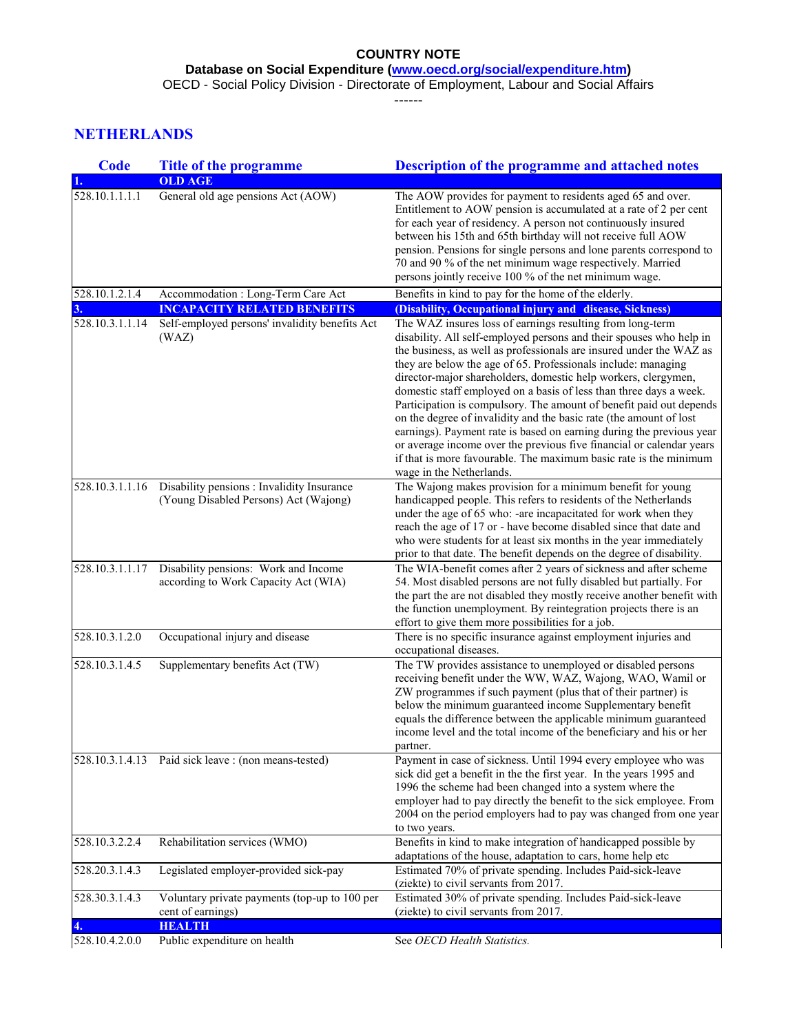**Database on Social Expenditure [\(www.oecd.org/social/expenditure.htm\)](http://www.oecd.org/social/expenditure.htm)**

OECD - Social Policy Division - Directorate of Employment, Labour and Social Affairs

------

# **NETHERLANDS**

| <b>Code</b>     | <b>Title of the programme</b>                                                       | <b>Description of the programme and attached notes</b>                                                                                                                                                                                                                                                                                                                                                                                                                                                                                                                                                                                                                                                                                                                                                         |
|-----------------|-------------------------------------------------------------------------------------|----------------------------------------------------------------------------------------------------------------------------------------------------------------------------------------------------------------------------------------------------------------------------------------------------------------------------------------------------------------------------------------------------------------------------------------------------------------------------------------------------------------------------------------------------------------------------------------------------------------------------------------------------------------------------------------------------------------------------------------------------------------------------------------------------------------|
|                 | <b>OLD AGE</b>                                                                      |                                                                                                                                                                                                                                                                                                                                                                                                                                                                                                                                                                                                                                                                                                                                                                                                                |
| 528.10.1.1.1.1  | General old age pensions Act (AOW)                                                  | The AOW provides for payment to residents aged 65 and over.<br>Entitlement to AOW pension is accumulated at a rate of 2 per cent<br>for each year of residency. A person not continuously insured<br>between his 15th and 65th birthday will not receive full AOW<br>pension. Pensions for single persons and lone parents correspond to<br>70 and 90 % of the net minimum wage respectively. Married<br>persons jointly receive 100 % of the net minimum wage.                                                                                                                                                                                                                                                                                                                                                |
| 528.10.1.2.1.4  | Accommodation : Long-Term Care Act                                                  | Benefits in kind to pay for the home of the elderly.                                                                                                                                                                                                                                                                                                                                                                                                                                                                                                                                                                                                                                                                                                                                                           |
|                 | <b>INCAPACITY RELATED BENEFITS</b>                                                  | (Disability, Occupational injury and disease, Sickness)                                                                                                                                                                                                                                                                                                                                                                                                                                                                                                                                                                                                                                                                                                                                                        |
| 528.10.3.1.1.14 | Self-employed persons' invalidity benefits Act<br>(WAZ)                             | The WAZ insures loss of earnings resulting from long-term<br>disability. All self-employed persons and their spouses who help in<br>the business, as well as professionals are insured under the WAZ as<br>they are below the age of 65. Professionals include: managing<br>director-major shareholders, domestic help workers, clergymen,<br>domestic staff employed on a basis of less than three days a week.<br>Participation is compulsory. The amount of benefit paid out depends<br>on the degree of invalidity and the basic rate (the amount of lost<br>earnings). Payment rate is based on earning during the previous year<br>or average income over the previous five financial or calendar years<br>if that is more favourable. The maximum basic rate is the minimum<br>wage in the Netherlands. |
| 528.10.3.1.1.16 | Disability pensions : Invalidity Insurance<br>(Young Disabled Persons) Act (Wajong) | The Wajong makes provision for a minimum benefit for young<br>handicapped people. This refers to residents of the Netherlands<br>under the age of 65 who: -are incapacitated for work when they<br>reach the age of 17 or - have become disabled since that date and<br>who were students for at least six months in the year immediately<br>prior to that date. The benefit depends on the degree of disability.                                                                                                                                                                                                                                                                                                                                                                                              |
| 528.10.3.1.1.17 | Disability pensions: Work and Income<br>according to Work Capacity Act (WIA)        | The WIA-benefit comes after 2 years of sickness and after scheme<br>54. Most disabled persons are not fully disabled but partially. For<br>the part the are not disabled they mostly receive another benefit with<br>the function unemployment. By reintegration projects there is an<br>effort to give them more possibilities for a job.                                                                                                                                                                                                                                                                                                                                                                                                                                                                     |
| 528.10.3.1.2.0  | Occupational injury and disease                                                     | There is no specific insurance against employment injuries and<br>occupational diseases.                                                                                                                                                                                                                                                                                                                                                                                                                                                                                                                                                                                                                                                                                                                       |
| 528.10.3.1.4.5  | Supplementary benefits Act (TW)                                                     | The TW provides assistance to unemployed or disabled persons<br>receiving benefit under the WW, WAZ, Wajong, WAO, Wamil or<br>ZW programmes if such payment (plus that of their partner) is<br>below the minimum guaranteed income Supplementary benefit<br>equals the difference between the applicable minimum guaranteed<br>income level and the total income of the beneficiary and his or her<br>partner.                                                                                                                                                                                                                                                                                                                                                                                                 |
|                 | 528.10.3.1.4.13 Paid sick leave : (non means-tested)                                | Payment in case of sickness. Until 1994 every employee who was<br>sick did get a benefit in the the first year. In the years 1995 and<br>1996 the scheme had been changed into a system where the<br>employer had to pay directly the benefit to the sick employee. From<br>2004 on the period employers had to pay was changed from one year<br>to two years.                                                                                                                                                                                                                                                                                                                                                                                                                                                 |
| 528.10.3.2.2.4  | Rehabilitation services (WMO)                                                       | Benefits in kind to make integration of handicapped possible by<br>adaptations of the house, adaptation to cars, home help etc                                                                                                                                                                                                                                                                                                                                                                                                                                                                                                                                                                                                                                                                                 |
| 528.20.3.1.4.3  | Legislated employer-provided sick-pay                                               | Estimated 70% of private spending. Includes Paid-sick-leave<br>(ziekte) to civil servants from 2017.                                                                                                                                                                                                                                                                                                                                                                                                                                                                                                                                                                                                                                                                                                           |
| 528.30.3.1.4.3  | Voluntary private payments (top-up to 100 per<br>cent of earnings)                  | Estimated 30% of private spending. Includes Paid-sick-leave<br>(ziekte) to civil servants from 2017.                                                                                                                                                                                                                                                                                                                                                                                                                                                                                                                                                                                                                                                                                                           |
|                 | <b>HEALTH</b>                                                                       |                                                                                                                                                                                                                                                                                                                                                                                                                                                                                                                                                                                                                                                                                                                                                                                                                |
| 528.10.4.2.0.0  | Public expenditure on health                                                        | See OECD Health Statistics.                                                                                                                                                                                                                                                                                                                                                                                                                                                                                                                                                                                                                                                                                                                                                                                    |